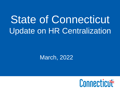# State of Connecticut Update on HR Centralization

### March, 2022

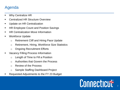### Agenda

- Why Centralize HR
- **Centralized HR Structure Overview**
- Update on HR Centralization
- HR Employee Count and Position Savings
- HR Centralization Move Information
- Workforce Update
	- o Retirement Cliff and Hiring Pace Update
	- o Retirement, Hiring, Workforce Size Statistics
	- o Ongoing Recruitment Efforts
- Vacancy Filling Process Information
	- o Length of Time to Fill a Position
	- o Authorities that Govern the Process
	- o Review of the Process
	- o Sample Staffing Dashboard Project
- Requested Adjustments to the FY 23 Budget

# Connecticut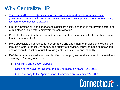### Why Centralize HR

- The Lamont/Bysiewicz Administration sees a great opportunity to re-shape State [government operations in ways that deliver services in an improved, more contemporary](https://www.theday.com/article/20190226/NWS01/190229549)  fashion for Connecticut's citizens.
- HR, as a profession, has experienced significant positive change in the private sector and within other public sector employers via centralization.
- Centralization creates the appropriate environment for more specialization within certain functional areas of HR.
- More specialization drives better performance and attainment of professional excellence through greater productivity, speed, and quality of services, improved pace of innovation, and an overall reduction of risk through greater consistency and reliability.
- DAS has communicated about and testified on the progress and success of this initiative in a variety of forums, to include:
	- o [DAS HR Centralization website](https://portal.ct.gov/DAS/Statewide-HR/DAS-Human-Resources-Centralization)
	- o [Office of the Governor Update on HR Centralization on April 20, 2021](https://www.youtube.com/watch?v=sh7dfhLswns)
	- o [2-hr Testimony to the Appropriations Committee on November 22, 2021](https://www.youtube.com/watch?v=knO-q-K9O94)

# Connecticut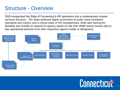### Structure - Overview

DAS reorganized the State of Connecticut's HR operations into a contemporary shared services structure. The State achieved higher economies of scale, more consistent standards and control, and a critical mass of HR competencies, while also having the flexibility and mobility to respond to agency needs on-site (the HRBP teams receive day-today operational direction from their respective agency heads or designees).



## Connecticut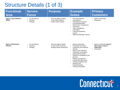## Structure Details (1 of 3)

| <b>Functional</b><br><b>Area</b>             | <b>Service</b><br><b>Focus</b>                                          | <b>Purpose</b>                                                                                   | <b>Example</b><br><b>Duties</b>                                                                                                                                                                                                                                                                                                        | <b>Primary</b><br><b>Customers</b>                                             |
|----------------------------------------------|-------------------------------------------------------------------------|--------------------------------------------------------------------------------------------------|----------------------------------------------------------------------------------------------------------------------------------------------------------------------------------------------------------------------------------------------------------------------------------------------------------------------------------------|--------------------------------------------------------------------------------|
| <b>Agency Labor Relations</b><br>(OPM)       | On-site delivery<br>Planning<br>٠<br>Strategy<br>$\bullet$              | Serve as Agency Heads'<br>$\bullet$<br>on-site labor relations<br>subject matter experts         | <b>CBA</b> administration<br>Investigations<br>$\bullet$<br>Represented employee<br>counseling/discipline<br>Performance management<br>$\bullet$<br>Grievances<br>$\bullet$<br>Labor management<br>committees<br>Collective bargaining<br>support<br>Supervisor/Manager training<br>$\bullet$                                          | Agency Leadership<br><b>Employees</b>                                          |
| <b>Agency HR Business</b><br><b>Partners</b> | On-site delivery<br>$\bullet$<br>Planning<br>٠<br>Strategy<br>$\bullet$ | Serve as Agency Heads'<br>$\bullet$<br>on-site human resources<br>strategic partner (generalist) | Agency partnership<br>$\bullet$<br>Functional area liaison<br>$\bullet$<br>Leadership and employee<br>$\bullet$<br>advising<br><b>Agency Labor Relations</b><br>$\bullet$<br>cooperation and support<br>Organizational design<br>Workforce management and<br>$\bullet$<br>planning<br>Position management<br>Classification grievances | Agency Leadership (reports<br>day-to-day to agency<br>leadership)<br>Employees |

- Classification grievances • Clearing mandatory lists
- Selection and hiring/onboarding
- Training coordination

Connecticut

**1**<br>5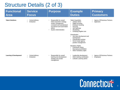## Structure Details (2 of 3)

| <b>Functional</b><br><b>Area</b>  | <b>Service</b><br><b>Focus</b> | <b>Purpose</b>                                                                                                                                                                         | <b>Example</b><br><b>Duties</b>                                                                                                                                                                                                                                                                                                                                                                                        | <b>Primary</b><br><b>Customers</b>               |
|-----------------------------------|--------------------------------|----------------------------------------------------------------------------------------------------------------------------------------------------------------------------------------|------------------------------------------------------------------------------------------------------------------------------------------------------------------------------------------------------------------------------------------------------------------------------------------------------------------------------------------------------------------------------------------------------------------------|--------------------------------------------------|
| <b>Talent Solutions</b>           | Central delivery<br>Enterprise | Responsible for overall<br>talent acquisition strategy,<br>vendor management,<br>consistent and standardized<br>recruitment and examination<br>efforts<br><b>System Administration</b> | <b>Talent Acquisition</b><br>JobAps admin<br>Digital recruiting<br><b>Employer branding</b><br>Sourcing<br><b>Job Openings</b><br>Shortlisting<br>Certifying Eligible Lists<br>Classification<br>Job class development and<br>maintenance<br><b>Classification reviews</b><br>Out of scope agency<br>position management<br><b>Mandatory Rights</b><br>Freenames Admin<br>Reemployment/SEBAC<br>Other mandatory rights | <b>Agency HR Business Partners</b><br>Applicants |
| <b>Learning &amp; Development</b> | Central delivery<br>Enterprise | Responsible for overall<br>learning and development<br>strategy and vendor<br>management                                                                                               | Leadership development<br>Other training coordination<br>LinkedIn Learning admin                                                                                                                                                                                                                                                                                                                                       | <b>Agency HR Business Partners</b><br>Employees  |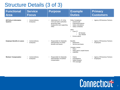## Structure Details (3 of 3)

| <b>Functional</b><br><b>Area</b>                     | <b>Service</b><br><b>Focus</b>              | <b>Purpose</b>                                                                                                        | <b>Example</b><br><b>Duties</b>                                                                                                                                                                                                      | <b>Primary</b><br><b>Customers</b>       |
|------------------------------------------------------|---------------------------------------------|-----------------------------------------------------------------------------------------------------------------------|--------------------------------------------------------------------------------------------------------------------------------------------------------------------------------------------------------------------------------------|------------------------------------------|
| <b>HR Policy &amp; Information</b><br><b>Systems</b> | Central delivery<br>Enterprise              | Administers Ch. 67 of the<br>CGS and other authorities<br>governing State<br>employment and supporting<br><b>HRIS</b> | <b>Policy Compliance</b><br>Central audit<br>$\bullet$<br>Policies/procedures<br>Salary calculations<br>Salary schedules<br><b>HRIS</b><br>$\cdot$ Core-CT<br><b>HR Module</b><br><b>T&amp;L Module</b><br>Kronos admin<br>$\bullet$ | <b>Agency HR Business Partners</b>       |
| <b>Employee Benefits &amp; Leaves</b>                | Central delivery<br>$\bullet$<br>Enterprise | Responsible for Statewide<br>administration of certain<br>benefits and leaves                                         | <b>Benefits</b><br>Retirement<br>$\bullet$<br>Service purchases<br><b>Complex Leaves</b><br><b>FMLA</b><br>$\bullet$<br>Other paid & unpaid leaves<br><b>USERRA</b><br>٠                                                             | Agency HR Business Partners<br>Employees |
| <b>Workers' Compensation</b>                         | Central delivery<br>Enterprise              | Responsible for Statewide<br>administration of workers'<br>compensation                                               | Claims<br>$\bullet$<br>Investigations<br>Safety program<br><b>TPA</b> oversight                                                                                                                                                      | Agency HR Business Partners<br>Employees |

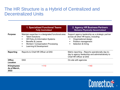### The HR Structure is a Hybrid of Centralized and Decentralized Units

|                                     | <b>1. Specialized Functional Teams</b><br><b>Fully Centralized</b>                                                                                                                                                     | 2. Agency HR Business Partners<br><b>Remains Physically Decentralized</b>                                                                                        |  |
|-------------------------------------|------------------------------------------------------------------------------------------------------------------------------------------------------------------------------------------------------------------------|------------------------------------------------------------------------------------------------------------------------------------------------------------------|--|
| <b>Purpose</b>                      | Maintain expertise in a designated functional area:<br><b>Talent Solutions</b><br>HR Policy & Information Systems<br><b>Benefits &amp; Leaves</b><br><b>Workers' Compensation Processing</b><br>Learning & Development | Support agency leadership as a strategic partner<br>across all other HR topics, including:<br>Organizational design<br>Position management<br>Selection & hiring |  |
| Reporting                           | Reports to Chief HR Officer at DAS                                                                                                                                                                                     | Matrix reporting – Reports operationally day-to-<br>day to agency leadership and administratively to<br>Chief HR Officer at DAS                                  |  |
| <b>Office</b><br><b>Location</b>    | <b>DAS</b>                                                                                                                                                                                                             | On-site with agencies                                                                                                                                            |  |
| # Employees<br>As of March,<br>2022 | ~110                                                                                                                                                                                                                   | ~140                                                                                                                                                             |  |

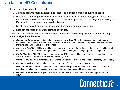### Update on HR Centralization

- In the decentralized model, HR had:
	- o A limited ability to mass expertise and resources to support changing business needs;
	- o Processes across agencies facing significant issues, including incomplete, paper based, and error-ridden records, inconsistent application of relevant policies, and backlogs in processing of FMLA and Military leaves, among other issues;
	- o No ability to scale learning and development programs and resources; and
	- o Less defined roles and career paths/opportunities.
- Since the start of HR Centralization on 8/28/20, the centralized HR organization is demonstrating **several significant benefits:**
	- o *Capacity and durability:* Ability to take on significant new Covid-19 related business (e.g., leadership and employee support, workplace disruptions, contact tracing and other notifications, reporting, telework, vaccine mandate, etc.) and continue regular business
	- o *Speed and flexibility:* Ability to load balance work across the state has led to the elimination of backlogs and increased the ability to pivot to emerging priorities, such as emergency hiring for pandemic response
	- o *Digital files:* Over 100,000 paper files (note: average 100 pages per file) have been digitized, and processes are now paperless through the HR service delivery system
	- o *Complete and accurate records:* All transactions are tracked, executed, and coded consistently and correctly
	- o *Consistent policies:* Relevant laws and negotiated benefits are interpreted consistently
	- o *New capabilities:* Dedicated, specialized teams have developed new capabilities and built subject matter expertise, to include the establishment of a new Statewide Learning and Development team
	- o *Defined Structure:* HR employees have more defined roles and clear career paths and opportunities for growth

# Connecticut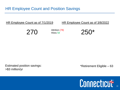| HR Employee Count as of 7/1/2019 |                            | HR Employee Count as of 3/8/2022 |
|----------------------------------|----------------------------|----------------------------------|
| 270                              | Attrition (78)<br>Hires 58 | $250*$                           |

Estimated position savings: \*Retirement Eligible – 63 >\$3 million/yr

## Connecticut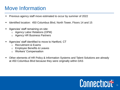### Move Information

- Previous agency staff move estimated to occur by summer of 2022
- Identified location: 450 Columbus Blvd, North Tower, Floors 14 and 15
- Agencies' staff remaining on-site:
	- o Agency Labor Relations (OPM)
	- o Agency HR Business Partners
- Agencies' staff identified to move to Hartford, CT
	- o Recruitment & Exams
	- o Employee Benefits & Leaves
	- o Workers' Compensation
- Other elements of HR Policy & Information Systems and Talent Solutions are already at 450 Columbus Blvd because they were originally within DAS

## Connecticut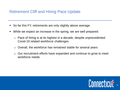### Retirement Cliff and Hiring Pace Update

- So far this FY, retirements are only slightly above average
- While we expect an increase in the spring, we are well prepared:
	- $\circ$  Pace of hiring is at its highest in a decade, despite unprecedented Covid-19 related workforce challenges
	- o Overall, the workforce has remained stable for several years
	- $\circ$  Our recruitment efforts have expanded and continue to grow to meet workforce needs

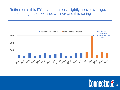#### Retirements this FY have been only slightly above average, but some agencies will see an increase this spring



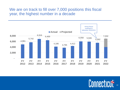#### We are on track to fill over 7,000 positions this fiscal year, the highest number in a decade



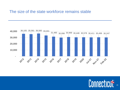#### The size of the state workforce remains stable



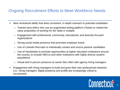### Ongoing Recruitment Efforts to Meet Workforce Needs

- New centralized ability that does consistent, in-depth outreach to potential candidates
	- $\circ$  Trained story tellers who use an augmented writing platform (Textio) to market the value proposition of working for the State in multiple
	- o Engagement with professional, community, educational, and diversity-focused organizations
	- o Strong social media presence that promotes employer brand
	- o Use of LinkedIn Recruiter to individually contact and source passive candidates
	- o Use of Handshake to promote opportunities at higher education institutions around the country, to include HBCUs and other institutions with highly diverse student populations
	- o Virtual and in-person presence at career fairs often with agency hiring managers
- Engagement with hiring managers to build and grow their own professional networks (i.e., hiring managers' digital presence and profile are increasingly critical to recruitment)

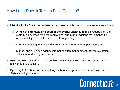### How Long Does it Take to Fill a Position?

- Historically, the State has not been able to answer this question comprehensively due to:
	- A lack of emphasis on speed of the overall vacancy filling process *(i.e., the* system is governed by laws, regulations, and CBA provisions that emphasize accountability, control, fairness, and transparency);
	- Information being in multiple different systems or heavily paper based; and
	- Manual and/or unique agency internal position management, affirmative action, selection, and hiring processes.
- However, HR Centralization has enabled DAS to focus expertise and resources on answering this question.
- By spring 2022, there will be a staffing dashboard to provide facts and insight into the State's staffing process.

# Connecticut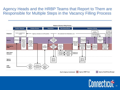### Agency Heads and the HRBP Teams that Report to Them are Responsible for Multiple Steps in the Vacancy Filling Process



*Key for Agency Involvement:* **Agency HRBP Team Agency Head/Hiring Manager**

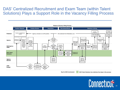### DAS' Centralized Recruitment and Exam Team (within Talent Solutions) Plays a Support Role in the Vacancy Filling Process



*Key for DAS involvement:* **DAS Talent Solutions has relatively few steps in the process**

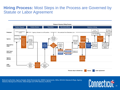#### **Hiring Process:** Most Steps in the Process are Governed by Statute or Labor Agreement



Relevant authorities: Agency Budget, State Personnel Act, SEBAC Agreements, CBAs, EEO/AA Statutes & Regs, Agency Statutory Background Checks, State Budget and OPM Statutory Authority

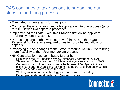### DAS continues to take actions to streamline our steps in the hiring process

- **Eliminated** *written* exams for most jobs
- **Combined the examination and job application into one process (prior** to 2017, it was two separate processes)
- **Implemented the State Executive Branch's first online applicant** tracking system in October, 2017
- **Proposed changes (that were approved) in 2018 to the State** Personnel Act to reduce required times to post jobs and allow for appeals
- Proposing further changes to the State Personnel Act in 2022 to bring more flexibility to the recruitment/exam process
- **EXA)** HR Centralization has contributed further by:
	- o Eliminating the DAS position review (historically performed by DAS Statewide HR) because the HRBP teams at agencies are now in DAS
	- o Centralizing recruitment teams make better use of JobAps, eliminate mistakes, perform shortlisting for hiring managers, and load balance this work, as needs evolve across the state
	- o Working to incorporate technology assistance with shortlisting
	- o Developing end-to-end dashboard (see next page)

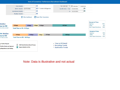



Note: Data is illustrative and not actual